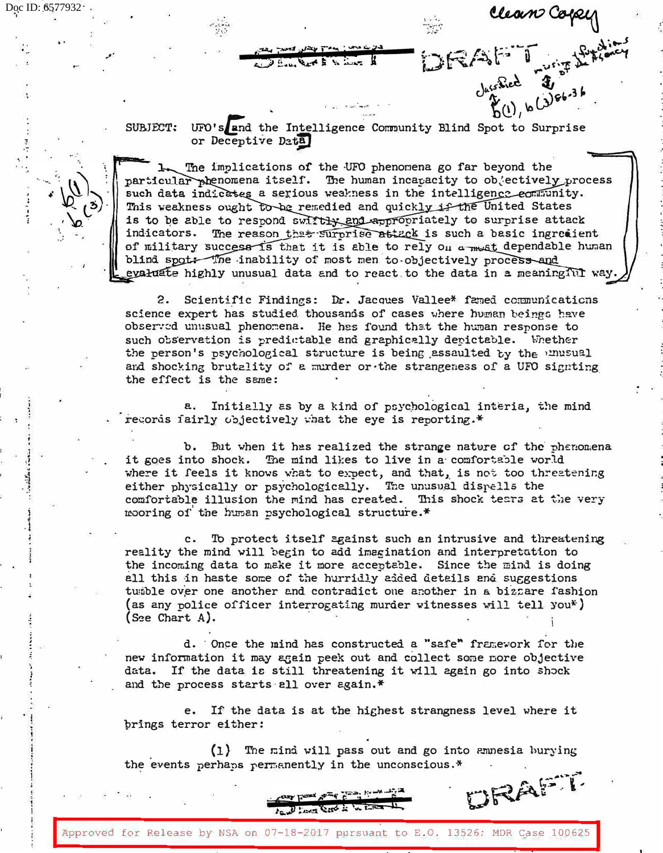S Blind Capel B(1), b (2) 66-36 SUBJECT: UFO's and the Intelligence Community Blind Spot to Surprise or Deceptive Data

The implications of the UFO phenomena go far beyond the particular phenomena itself. The human incapacity to objectively process such data indicates a serious weakness in the intelligence community. This weakness ought to be remedied and quickly if the United States is to be able to respond swiftly and appropriately to surprise attack indicators. The reason that surprise attack is such a basic ingresient of military success is that it is able to rely on a must dependable human blind spot: The inability of most men to objectively process and eyaluate highly unusual data and to react to the data in a meaningiul way

 $2.$ Scientific Findings: Dr. Jacques Vallee\* famed communications science expert has studied thousands of cases where human beings have observed unusual phenomena. He has found that the human response to such observation is predictable and graphically depictable. Whether the person's psychological structure is being assaulted by the unusual and shocking brutality of a murder or the strangeness of a UFO signting the effect is the same:

a. Initially as by a kind of psychological interia, the mind records fairly objectively what the eye is reporting.\*

b. But when it has realized the strange nature of the phenonena it goes into shock. The mind likes to live in a comfortable world where it feels it knows what to expect, and that, is not too threatening either physically or psychologically. The unusual dispells the comfortable illusion the mind has created. This shock tears at the very mooring of the human psychological structure.\*

To protect itself against such an intrusive and threatening  $c<sub>1</sub>$ reality the mind will begin to add imagination and interpretation to the incoming data to make it more acceptable. Since the mind is doing all this in haste some of the hurridly added details and suggestions tumble over one another and contradict one another in a bizzare fashion (as any police officer interrogating murder witnesses will tell you\*) (See Chart A).

d. Once the mind has constructed a "safe" framework for the new information it may again peek out and collect some more objective data. If the data is still threatening it will again go into shock and the process starts all over again.\*

e. If the data is at the highest strangness level where it brings terror either:

(1) The mind will pass out and go into amnesia burying the events perhaps permanently in the unconscious.\*

DRAFT

four post prop prop the same

Approved for Release by NSA on 07-18-2017 pursuant to E.O. 13526; MDR Case 100625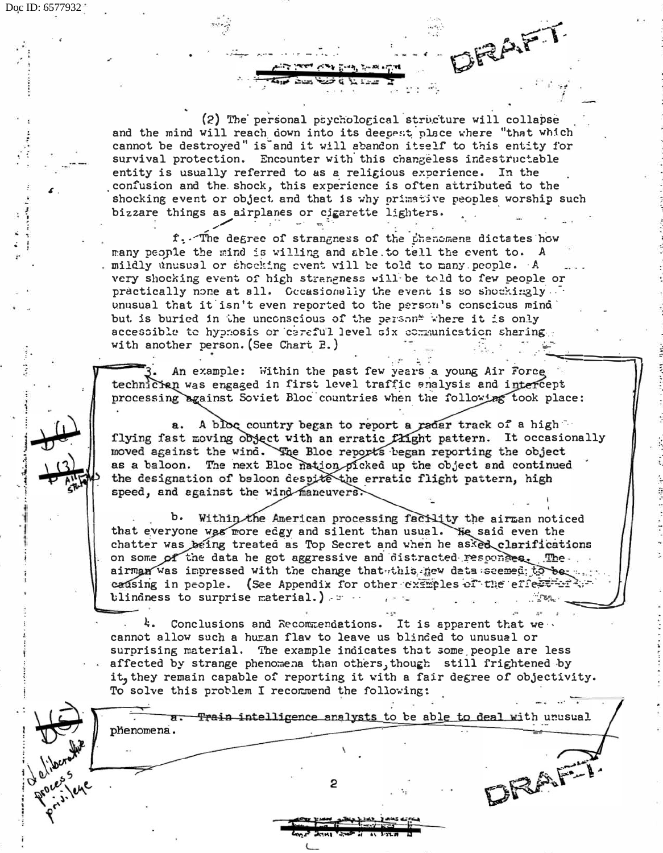(2) The personal psychological structure will collapse and the mind will reach down into its deepest place where "that which cannot be destroyed" is and it will abandon itself to this entity for survival protection. Encounter with this changeless indestructable entity is usually referred to as a religious experience. In the confusion and the shock, this experience is often attributed to the shocking event or object and that is why primative peoples worship such bizzare things as airplanes or cigarette lighters.

e Pos

. . . . . <u>.</u>

DRAFT.

f. The degree of strangness of the thenomena dictates how many people the mind is willing and able to tell the event to. A mildly thusual or shocking event will be told to many people. A very shocking event of high strangness will be told to few people or practically none at all. Cocasionally the event is so shockingly. unusual that it isn't even reported to the person's conscious mind but is buried in the unconscious of the parson\* where it is only accessible to hypnosis or careful level six communication sharing with another person. (See Chart  $B.$ )

An example: Within the past few years a young Air Force technician was engaged in first level traffic analysis and intercept processing against Soviet Bloc countries when the following took place:

a. A bloc country began to report a radar track of a high flying fast moving object with an erratic flight pattern. It occasionally moved against the wind. The Bloc reports began reporting the object as a baloon. The next Bloc nation picked up the object and continued the designation of beloon despite the erratic flight pattern, high speed, and against the wind maneuvers.

b. Within the American processing facility the airman noticed that everyone was more edgy and silent than usual. The said even the chatter was being treated as Top Secret and when he asked clarifications on some of the data he got aggressive and distracted responses. The airman was incressed with the change that this new data seemed to be: causing in people. (See Appendix for other exemples of the effection is blindness to surprise material.)  $x \cdot y$  $200 - 200$ 

Conclusions and Recommendations. It is apparent that we cannot allow such a human flaw to leave us blinded to unusual or surprising material. The example indicates that some people are less affected by strange phenomena than others, though still frightened by it, they remain capable of reporting it with a fair degree of objectivity. To solve this problem I recommend the following:

2

phenomena.

E. Train intelligence analysts to be able to deal with unusual

**DRAFT!**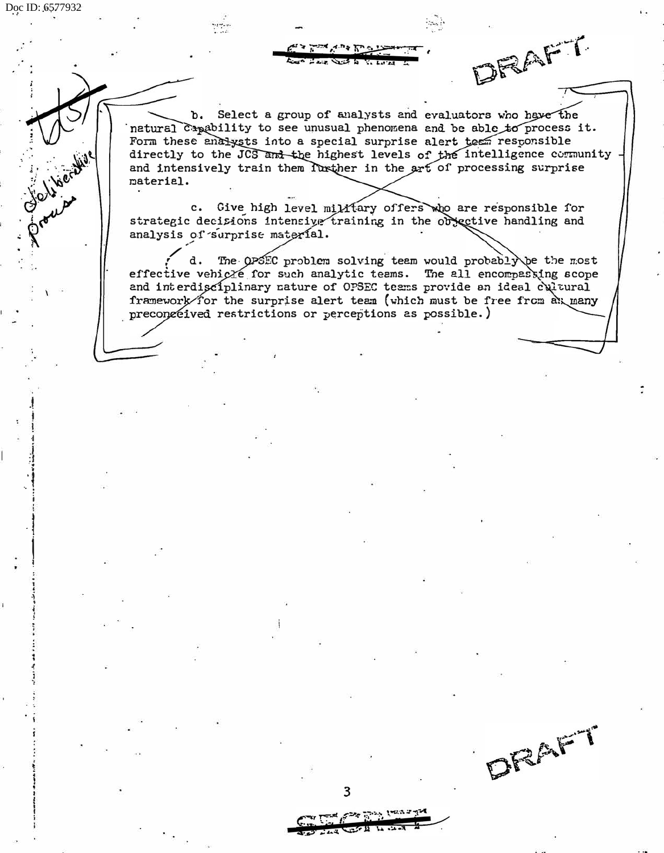فاسط فرسته عنت

Select a group of analysts and evaluators who have the ъ. natural Capability to see unusual phenomena and be able to process it. Form these analysts into a special surprise alert teem responsible directly to the JCS and the highest levels of the intelligence community and intensively train them lumther in the art of processing surprise material.

c. Give high level military offers who are responsible for strategic decisions intensive training in the objective handling and analysis of surprise material.

The OPSEC problem solving team would probably be the most d. effective vehicle for such analytic teams. The all encompassing scope and interdisciplinary nature of OPSEC teams provide an ideal cultural framework for the surprise alert team (which must be free from as many preconceived restrictions or perceptions as possible.)

3

ودمن وحتى لمعد  $1.3 \sqrt{12.64}$ 

**DESAFT** 

DRAFT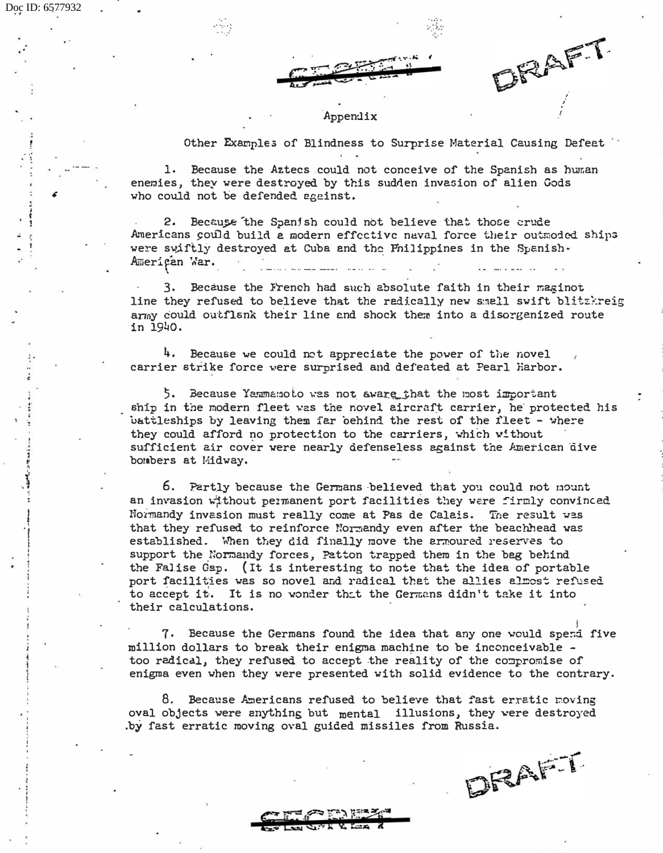## Appendix

Doc ID: 6577932

## Other Examples of Blindness to Surprise Material Causing Defeat

**ERAFT** 

1. Because the Aztecs could not conceive of the Spanish as human enemies, they were destroyed by this sudden invasion of alien Gods who could not be defended against.

2. Because the Spanish could not believe that those crude Americans could build a modern effective naval force their outmoded ships were swiftly destroyed at Cuba and the Fhilippines in the Spanish-American War.

Because the French had such absolute faith in their maginot 3. line they refused to believe that the redically new small swift blitzkreig army could outflank their line and shock them into a disorgenized route in 1940.

4. Because we could not appreciate the power of the novel carrier strike force were surprised and defeated at Pearl Harbor.

5. Because Yarmamoto was not aware that the most important ship in the modern fleet was the novel aircraft carrier, he protected his battleships by leaving them far behind the rest of the fleet - where they could afford no protection to the carriers, which without sufficient air cover were nearly defenseless against the American dive bombers at Midway.

6. Partly because the Germans believed that you could not mount an invasion without permanent port facilities they were firmly convinced Normandy invasion must really come at Pas de Calais. The result was that they refused to reinforce Normandy even after the beachhead was established. When they did finally move the armoured reserves to support the Normandy forces, Patton trapped them in the bag behind the Falise Gap. (It is interesting to note that the idea of portable port facilities was so novel and radical that the allies almost refused to accept it. It is no wonder that the Germans didn't take it into their calculations.

7. Because the Germans found the idea that any one would spend five million dollars to break their enigma machine to be inconceivable too radical, they refused to accept the reality of the compromise of enigma even when they were presented with solid evidence to the contrary.

Because Americans refused to believe that fast erratic moving oval objects were anything but mental illusions, they were destroyed by fast erratic moving oval guided missiles from Russia.

DRAFT.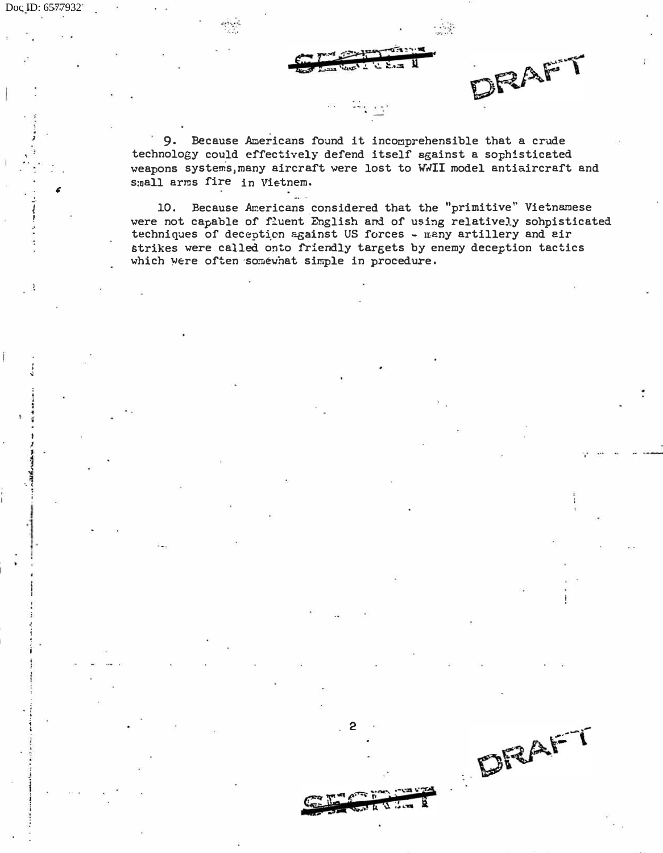

DRAFT

**DFRAFT** 

Because Americans found it incomprehensible that a crude 9. technology could effectively defend itself against a sophisticated weapons systems, many aircraft were lost to WWII model antiaircraft and small arms fire in Vietnem.

 $22.56$ 

10. Because Americans considered that the "primitive" Vietnamese were not capable of fluent English and of using relatively sohpisticated techniques of deception against US forces - many artillery and air strikes were called onto friendly targets by enemy deception tactics which were often somewhat simple in procedure.

2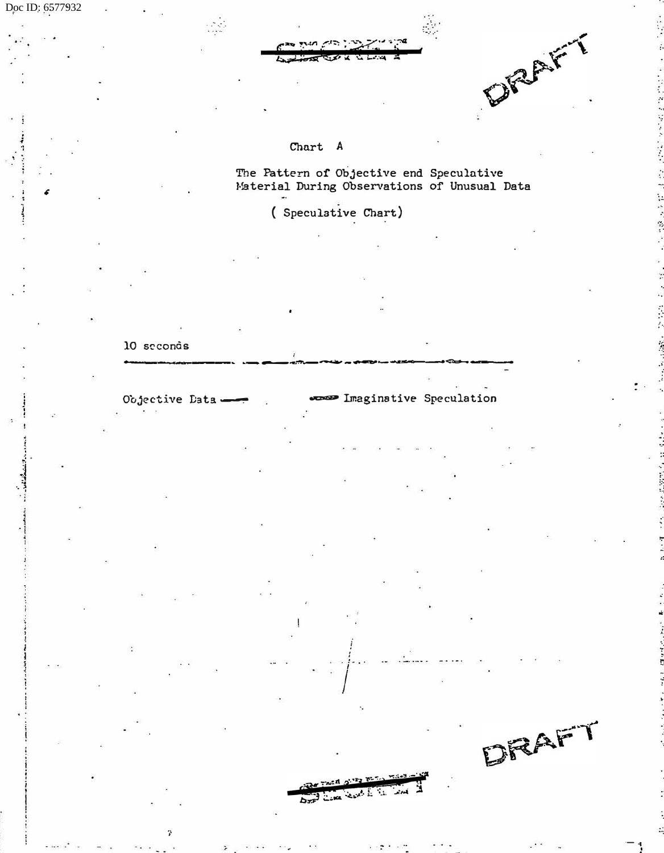



DRAFT

## Chart A

The Pattern of Objective end Speculative<br>Material During Observations of Unusual Data

(Speculative Chart)

10 seconõs

Jmaginative Speculation Objective Data -

 $2^{1/2}$   $2^{1/2}$ 

**Report Follows** 

Twitt

 $2\pi^3$